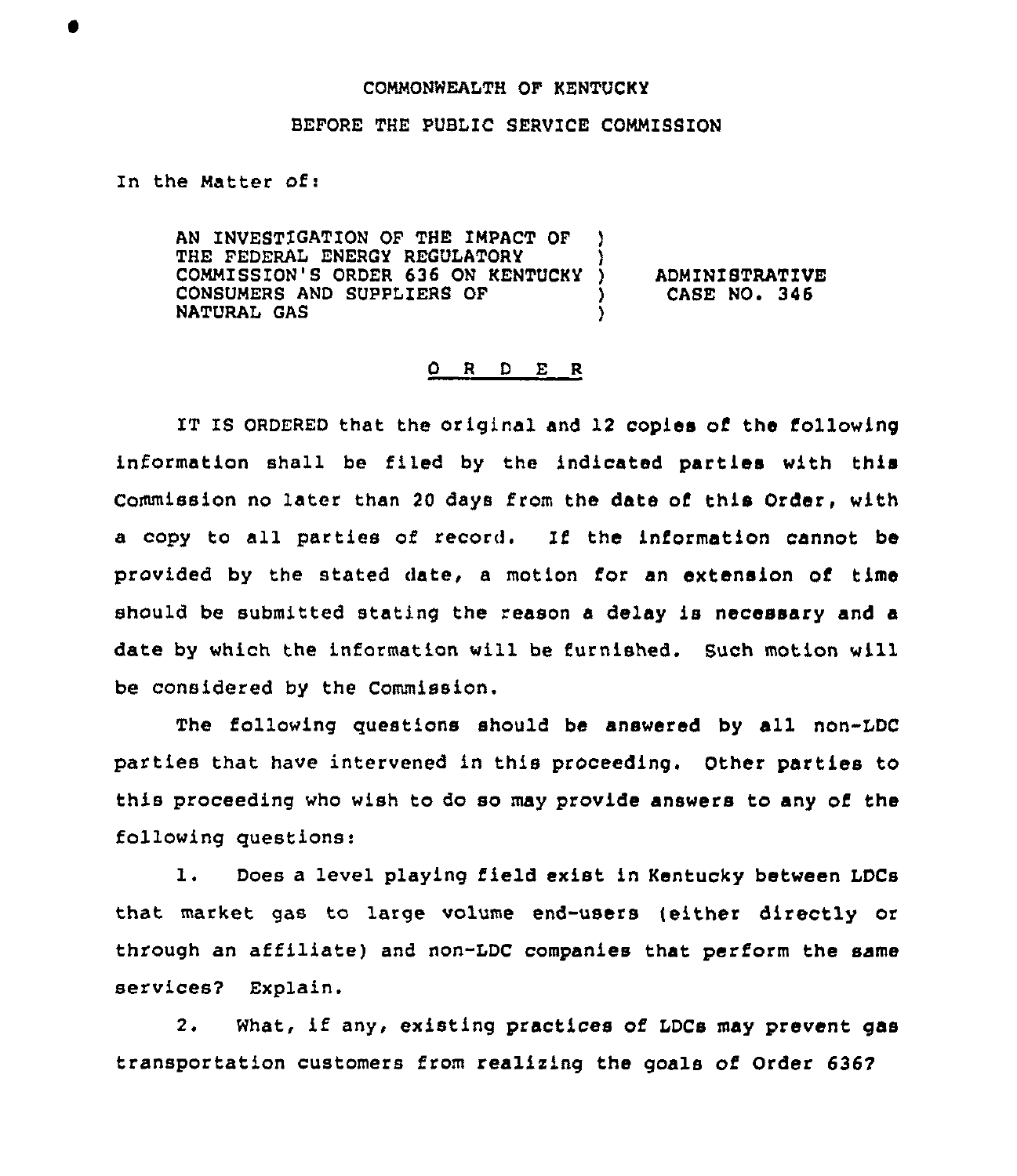## COMMONWEALTH OF KENTUCKY

## BEFORE THE PUBLIC SERVICE COMMISSION

In the Matter of:

AN INVESTIGATION OF THE IMPACT OF THE FEDERAL ENERGY REGULATORY COMMISSION'S ORDER 636 ON KENTUCKY CONSUMERS AND SUPPIZERS OF NATURAL GAS ) )

) ADMINISTRATIVE<br>} CASE NO. 346 ) CASE NO. 346

## 0 <sup>R</sup> <sup>D</sup> E <sup>R</sup>

IT IS ORDERED that the original and 12 copies of the following information shall be filed by the indicated parties with this Commission no later than 20 days from the date of this Order, with a copy to all parties of record. If the information cannot be provided by the stated daze, a motion for an extension of time should be submitted stating the reason <sup>a</sup> delay is necessary and a date by which the information will be furnished. Such motion will be considered by the Commission.

The following questions should be answered by all non-IDC parties that have intervened in this proceeding. Other parties to this proceeding who wish to do so may provide answers to any of the following questions:

1. Does <sup>a</sup> level playing field exist in Kentucky between LDCs that mazket gas to lazge volume end-users [either directly or through an affiliate) and non-LDC companies that perform the same services? Explain.

2. What, if any, existing practices of LDCs may prevent gas transportation customers from realizing the goals of Order 6367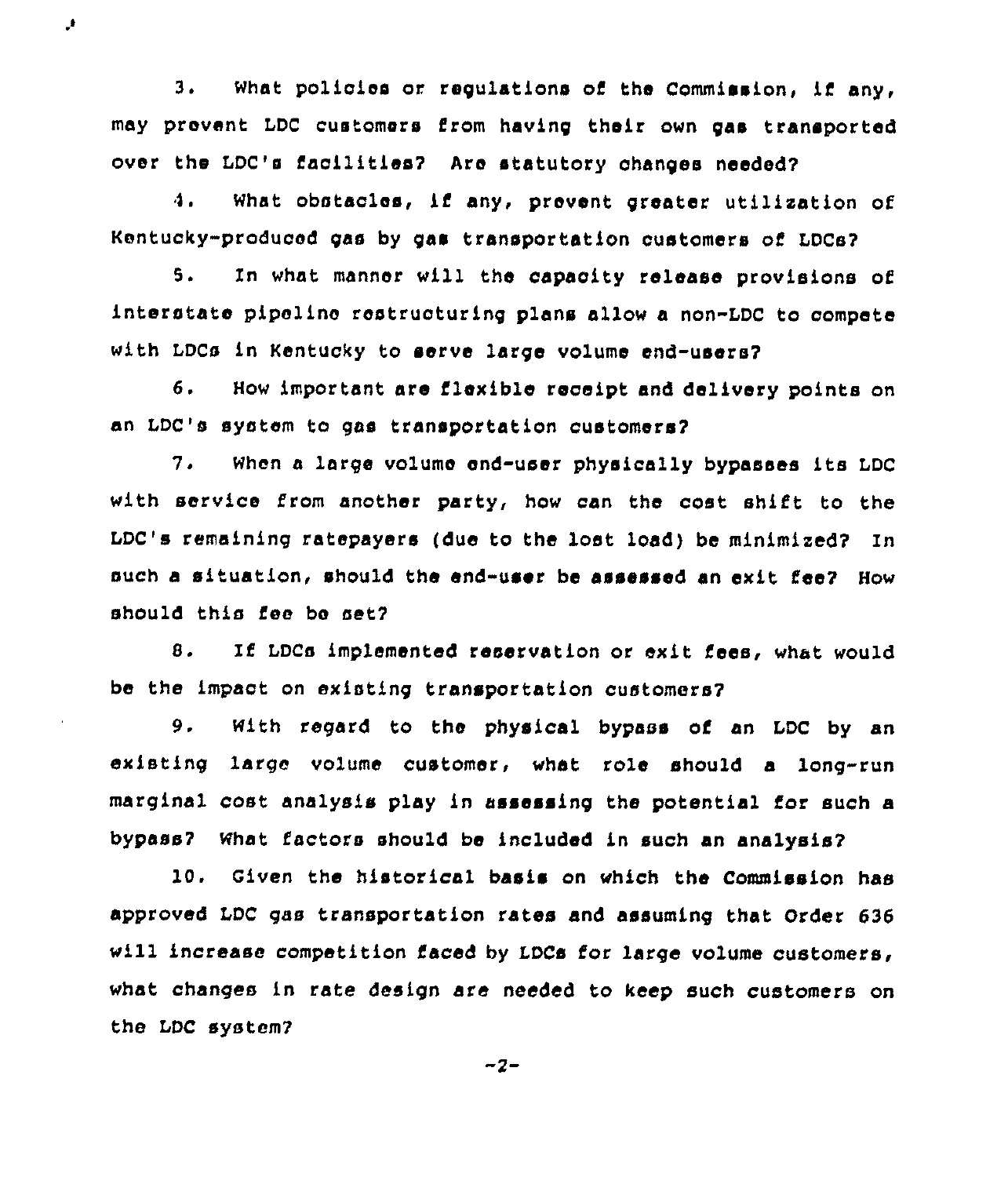3. What policies or regulations of the Commission, if any, may prevent LDC customers from having their own gas transported over the LDC's facilities7 Are statutory changes needed?

 $\mathcal{F}$ 

4. What obstacles, if any, prevent greater utilization of Kentucky-produced gas by gas transportation customers of LDCs?

5. In what manner will the capacity release provisions of interstate pipeline restructuring plans allow a non-LDC to compete with LDCs in Kentucky to serve large volume end-users7

6. How important are flexible receipt and delivery points on an LDC's system to gas transportation customers?

7. When <sup>a</sup> large volume end-user physically bypasses its LDC with service from another party, how can the cost shift to the LDC's remaining ratepayers (due to the lost Iced) be minimized? In such a situation, should the end-user be assessed sn exit fee? How should this fee be aet?

8. If LDCs implemented reservation or exit fees, what would be the impact on existing transportation customers?

9. With regard to the physical bypass of an LDC by an existing large volume customer, what role should a long-run marginal cost analysis play in assessing the potential for such a bypass? What factors should be included in such an analysis?

10. Given the historical basis on which the Commission has approved LDC gas transportation rates and assuming that Order 636 will increase competition faced by LDCs for large volume customers, what changes in rate design are needed to keep such customers on the LDC system7

 $-2-$